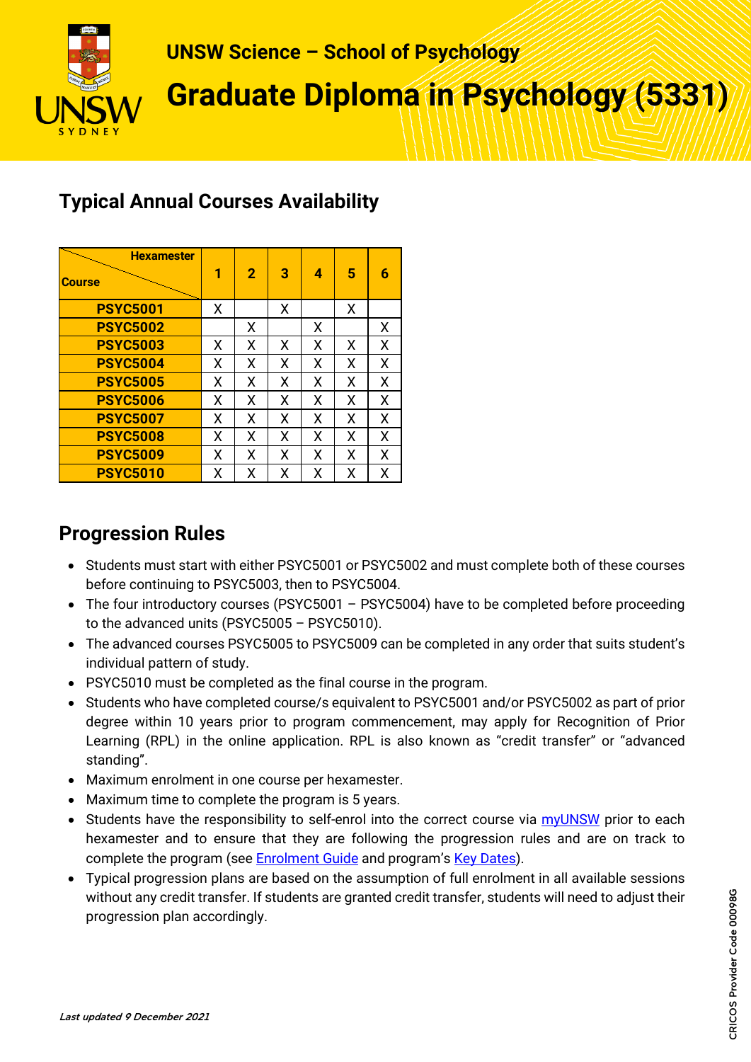

# **UNSW Science – School of Psychology**

**Graduate Diploma in Psychology (5331)**

# **Typical Annual Courses Availability**

| <b>Hexamester</b><br><b>Course</b> | 1 | $\overline{2}$ | з | 4 | 5 | 6 |
|------------------------------------|---|----------------|---|---|---|---|
| <b>PSYC5001</b>                    | x |                | X |   | X |   |
| <b>PSYC5002</b>                    |   | х              |   | Х |   | X |
| <b>PSYC5003</b>                    | х | Х              | X | x | х | X |
| <b>PSYC5004</b>                    | х | Х              | x | x | χ | X |
| <b>PSYC5005</b>                    | х | X              | х | x | χ | X |
| <b>PSYC5006</b>                    | x | X              | x | x | X | X |
| <b>PSYC5007</b>                    | x | X              | x | x | X | X |
| <b>PSYC5008</b>                    | х | Χ              | X | x | Χ | X |
| <b>PSYC5009</b>                    | x | x              | x | x | x | X |
| <b>PSYC5010</b>                    | χ | x              | x | х | Χ | χ |

# **Progression Rules**

- Students must start with either PSYC5001 or PSYC5002 and must complete both of these courses before continuing to PSYC5003, then to PSYC5004.
- The four introductory courses (PSYC5001 PSYC5004) have to be completed before proceeding to the advanced units (PSYC5005 – PSYC5010).
- The advanced courses PSYC5005 to PSYC5009 can be completed in any order that suits student's individual pattern of study.
- PSYC5010 must be completed as the final course in the program.
- Students who have completed course/s equivalent to PSYC5001 and/or PSYC5002 as part of prior degree within 10 years prior to program commencement, may apply for Recognition of Prior Learning (RPL) in the online application. RPL is also known as "credit transfer" or "advanced standing".
- Maximum enrolment in one course per hexamester.
- Maximum time to complete the program is 5 years.
- Students have the responsibility to self-enrol into the correct course via [myUNSW](https://my.unsw.edu.au/) prior to each hexamester and to ensure that they are following the progression rules and are on track to complete the program (see **Enrolment Guide** and program's **Key Dates**).
- Typical progression plans are based on the assumption of full enrolment in all available sessions without any credit transfer. If students are granted credit transfer, students will need to adjust their progression plan accordingly.